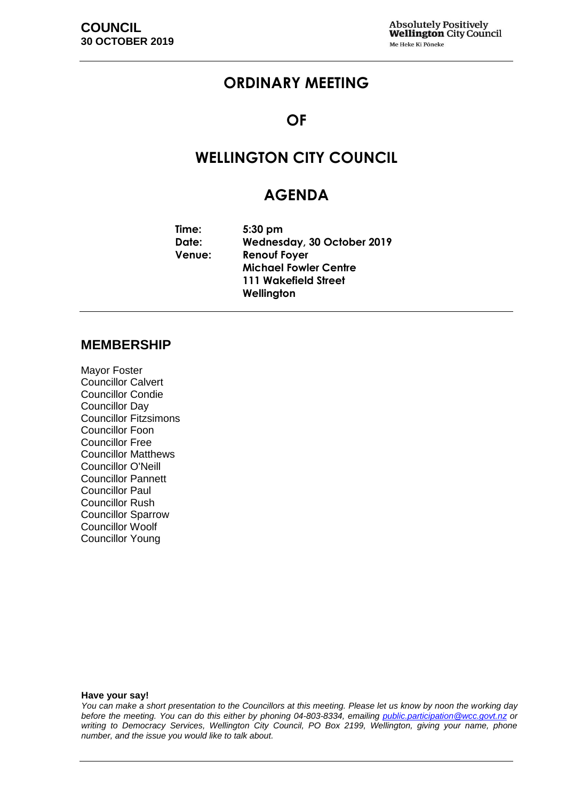## **ORDINARY MEETING**

### **OF**

## **WELLINGTON CITY COUNCIL**

### **AGENDA**

**Time: 5:30 pm Date: Wednesday, 30 October 2019 Venue: Renouf Foyer Michael Fowler Centre 111 Wakefield Street Wellington**

#### **MEMBERSHIP**

Mayor Foster Councillor Calvert Councillor Condie Councillor Day Councillor Fitzsimons Councillor Foon Councillor Free Councillor Matthews Councillor O'Neill Councillor Pannett Councillor Paul Councillor Rush Councillor Sparrow Councillor Woolf Councillor Young

**Have your say!**

*You can make a short presentation to the Councillors at this meeting. Please let us know by noon the working day before the meeting. You can do this either by phoning 04-803-8334, emailing public.participation@wcc.govt.nz or writing to Democracy Services, Wellington City Council, PO Box 2199, Wellington, giving your name, phone number, and the issue you would like to talk about.*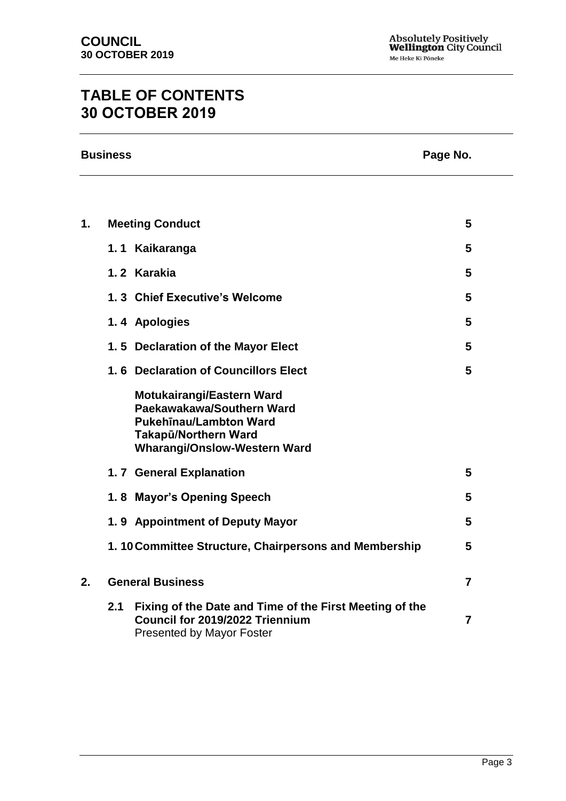# **TABLE OF CONTENTS 30 OCTOBER 2019**

| <b>Business</b> | Page No. |
|-----------------|----------|
|                 |          |

| Page No. |  |
|----------|--|
|----------|--|

| 1. |     | <b>Meeting Conduct</b>                                                                                                                                        | 5              |
|----|-----|---------------------------------------------------------------------------------------------------------------------------------------------------------------|----------------|
|    |     | 1.1 Kaikaranga                                                                                                                                                | 5              |
|    |     | 1.2 Karakia                                                                                                                                                   | 5              |
|    |     | 1.3 Chief Executive's Welcome                                                                                                                                 | 5              |
|    |     | 1.4 Apologies                                                                                                                                                 | 5              |
|    |     | 1.5 Declaration of the Mayor Elect                                                                                                                            | 5              |
|    |     | 1.6 Declaration of Councillors Elect                                                                                                                          | 5              |
|    |     | Motukairangi/Eastern Ward<br>Paekawakawa/Southern Ward<br><b>Pukehinau/Lambton Ward</b><br><b>Takapū/Northern Ward</b><br><b>Wharangi/Onslow-Western Ward</b> |                |
|    |     | 1.7 General Explanation                                                                                                                                       | 5              |
|    |     | 1.8 Mayor's Opening Speech                                                                                                                                    | 5              |
|    |     | 1.9 Appointment of Deputy Mayor                                                                                                                               | 5              |
|    |     | 1.10 Committee Structure, Chairpersons and Membership                                                                                                         | 5              |
| 2. |     | <b>General Business</b>                                                                                                                                       | $\overline{7}$ |
|    | 2.1 | Fixing of the Date and Time of the First Meeting of the<br>Council for 2019/2022 Triennium<br><b>Presented by Mayor Foster</b>                                | $\overline{7}$ |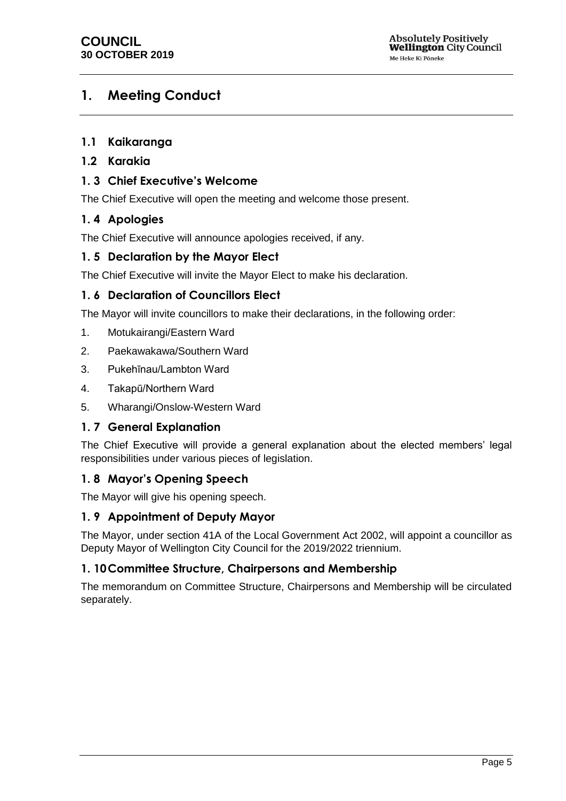### <span id="page-4-0"></span>**1. Meeting Conduct**

#### **1.1 Kaikaranga**

#### **1.2 Karakia**

#### <span id="page-4-1"></span>**1. 3 Chief Executive's Welcome**

The Chief Executive will open the meeting and welcome those present.

#### **1. 4 Apologies**

The Chief Executive will announce apologies received, if any.

#### <span id="page-4-2"></span>**1. 5 Declaration by the Mayor Elect**

The Chief Executive will invite the Mayor Elect to make his declaration.

#### <span id="page-4-3"></span>**1. 6 Declaration of Councillors Elect**

The Mayor will invite councillors to make their declarations, in the following order:

- 1. Motukairangi/Eastern Ward
- 2. Paekawakawa/Southern Ward
- 3. Pukehīnau/Lambton Ward
- 4. Takapū/Northern Ward
- 5. Wharangi/Onslow-Western Ward

#### <span id="page-4-4"></span>**1. 7 General Explanation**

The Chief Executive will provide a general explanation about the elected members' legal responsibilities under various pieces of legislation.

#### <span id="page-4-5"></span>**1. 8 Mayor's Opening Speech**

The Mayor will give his opening speech.

#### **1. 9 Appointment of Deputy Mayor**

The Mayor, under section 41A of the Local Government Act 2002, will appoint a councillor as Deputy Mayor of Wellington City Council for the 2019/2022 triennium.

#### **1. 10Committee Structure, Chairpersons and Membership**

The memorandum on Committee Structure, Chairpersons and Membership will be circulated separately.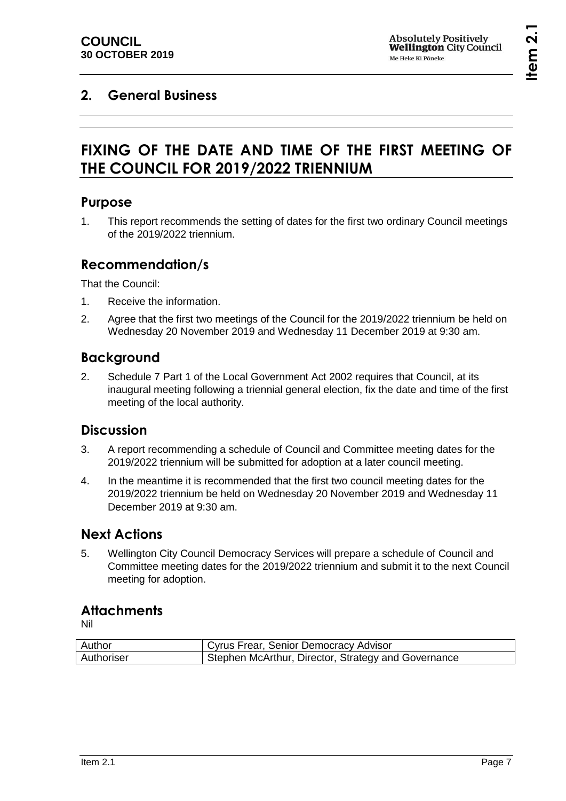## <span id="page-6-1"></span><span id="page-6-0"></span>**2. General Business**

# **FIXING OF THE DATE AND TIME OF THE FIRST MEETING OF THE COUNCIL FOR 2019/2022 TRIENNIUM**

### **Purpose**

1. This report recommends the setting of dates for the first two ordinary Council meetings of the 2019/2022 triennium.

### **Recommendation/s**

That the Council:

- 1. Receive the information.
- 2. Agree that the first two meetings of the Council for the 2019/2022 triennium be held on Wednesday 20 November 2019 and Wednesday 11 December 2019 at 9:30 am.

### **Background**

2. Schedule 7 Part 1 of the Local Government Act 2002 requires that Council, at its inaugural meeting following a triennial general election, fix the date and time of the first meeting of the local authority.

### **Discussion**

- 3. A report recommending a schedule of Council and Committee meeting dates for the 2019/2022 triennium will be submitted for adoption at a later council meeting.
- 4. In the meantime it is recommended that the first two council meeting dates for the 2019/2022 triennium be held on Wednesday 20 November 2019 and Wednesday 11 December 2019 at 9:30 am.

### **Next Actions**

5. Wellington City Council Democracy Services will prepare a schedule of Council and Committee meeting dates for the 2019/2022 triennium and submit it to the next Council meeting for adoption.

### **Attachments**

Nil

| Author     | Cyrus Frear, Senior Democracy Advisor               |
|------------|-----------------------------------------------------|
| Authoriser | Stephen McArthur, Director, Strategy and Governance |